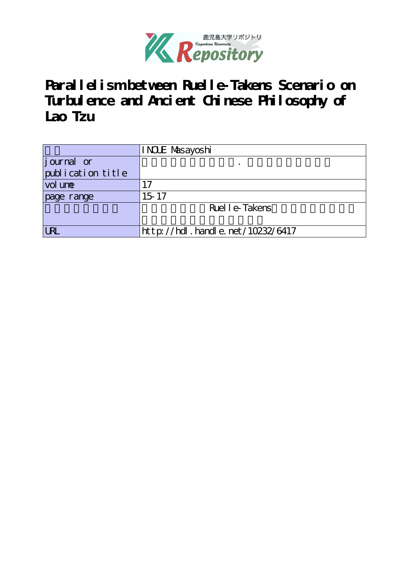

**Parallelism between Ruelle-Takens Scenario on** Turbul ence and Anci ent Chinese Philosophy of **Lao Tzu**

|                   | INCLE Masayoshi                  |  |  |  |  |  |
|-------------------|----------------------------------|--|--|--|--|--|
| journal or        |                                  |  |  |  |  |  |
| publication title |                                  |  |  |  |  |  |
| vol une           | 17                               |  |  |  |  |  |
| page range        | $15 - 17$                        |  |  |  |  |  |
|                   | Ruel l e-Takens                  |  |  |  |  |  |
|                   |                                  |  |  |  |  |  |
| <b>LRL</b>        | http://hdl.handle.net/10232/6417 |  |  |  |  |  |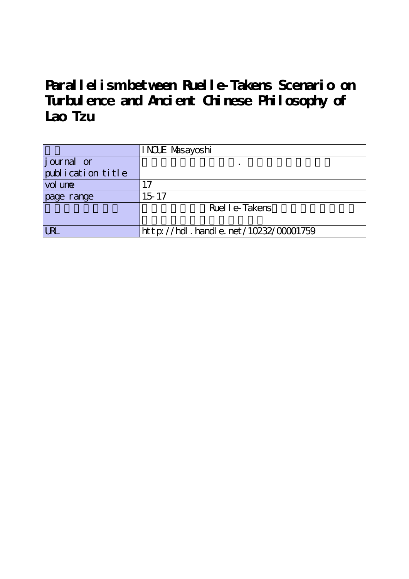**Parallelism between Ruelle-Takens Scenario on** Turbul ence and Anci ent Chinese Philosophy of **Lao Tzu**

|                   | INCLE Masayoshi                          |  |  |  |  |  |
|-------------------|------------------------------------------|--|--|--|--|--|
| journal or        |                                          |  |  |  |  |  |
| publication title |                                          |  |  |  |  |  |
| vol une           | 17                                       |  |  |  |  |  |
| page range        | $15 - 17$                                |  |  |  |  |  |
|                   | Ruel l e-Takens                          |  |  |  |  |  |
|                   |                                          |  |  |  |  |  |
| <b>LRL</b>        | $http://hdl. handle. net/10232/00001759$ |  |  |  |  |  |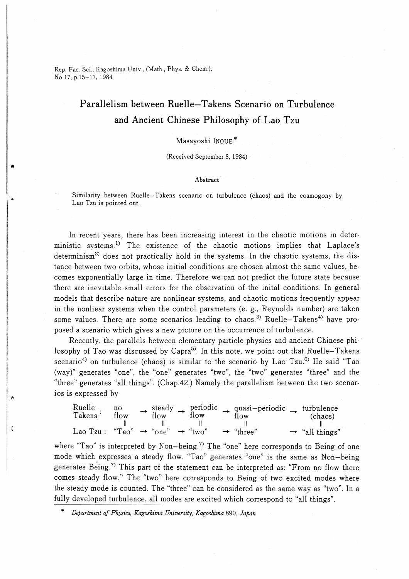Rep. Fac. Sci., Kagoshima Univ., (Math., Phys. & Chem.), No 17, p.15-17, 1984

# Parallelism between Ruelle-Takens Scenario on Turbulence and Ancient Chinese Philosophy of Lao Tzu

## Masavoshi INOUE\*

(Received September 8, 1984)

#### Abstract

Similarity between Ruelle-Takens scenario on turbulence (chaos) and the cosmogony by Lao Tzu is pointed out.

In recent years, there has been increasing interest in the chaotic motions in deterministic systems.<sup>1)</sup> The existence of the chaotic motions implies that Laplace's determinism<sup>2)</sup> does not practically hold in the systems. In the chaotic systems, the distance between two orbits, whose initial conditions are chosen almost the same values, becomes exponentially large in time. Therefore we can not predict the future state because there are inevitable small errors for the observation of the inital conditions. In general models that describe nature are nonlinear systems, and chaotic motions frequently appear in the nonliear systems when the control parameters (e. g., Reynolds number) are taken some values. There are some scenarios leading to chaos.<sup>3)</sup> Ruelle-Takens<sup>4)</sup> have proposed a scenario which gives a new picture on the occurrence of turbulence.

Recently, the parallels between elementary particle physics and ancient Chinese philosophy of Tao was discussed by Capra<sup>5)</sup>. In this note, we point out that Ruelle-Takens scenario<sup>4)</sup> on turbulence (chaos) is similar to the scenario by Lao Tzu.<sup>6)</sup> He said "Tao (way)" generates "one", the "one" generates "two", the "two" generates "three" and the "three" generates "all things". (Chap.42.) Namely the parallelism between the two scenarios is expressed by

| Ruelle<br>Takens <sup>.</sup> | $\mathbf{n}$<br>flow                          | steady<br>flow | flow | periodic $\rightarrow$ quasi-periodic $\rightarrow$ turbulence<br>flow | (chaos)                    |
|-------------------------------|-----------------------------------------------|----------------|------|------------------------------------------------------------------------|----------------------------|
|                               |                                               |                |      |                                                                        |                            |
| $Lao Tzu$ :                   | "Tao" $\rightarrow$ "one" $\rightarrow$ "two" |                |      | $\rightarrow$ "three"                                                  | $\rightarrow$ "all things" |

where "Tao" is interpreted by Non-being.<sup>7)</sup> The "one" here corresponds to Being of one mode which expresses a steady flow. "Tao" generates "one" is the same as Non-being generates Being.<sup>7)</sup> This part of the statement can be interpreted as: "From no flow there comes steady flow." The "two" here corresponds to Being of two excited modes where the steady mode is counted. The "three" can be considered as the same way as "two". In a fully developed turbulence, all modes are excited which correspond to "all things".

 $\zeta$ 

Department of Physics, Kagoshima University, Kagoshima 890, Japan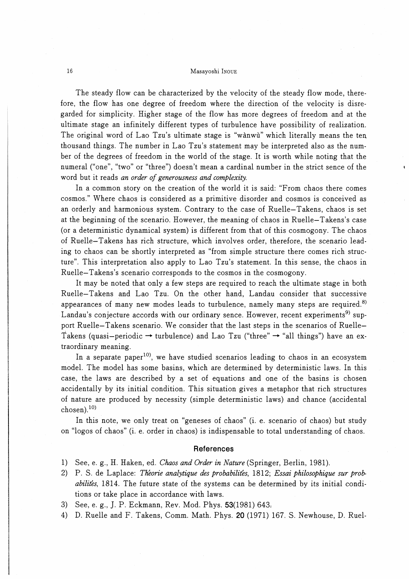#### 16 Masayoshi Inoue

The steady flow can be characterized by the velocity of the steady flow mode, therefore, the flow has one degree of freedom where the direction of the velocity is disregarded for simplicity. Higher stage of the flow has more degrees of freedom and at the ultimate stage an infinitely different types of turbulence have possibility of realization. The original word of Lao Tzu's ultimate stage is "wanwu" which literally means the ten. thousand things. The number in Lao Tzu's statement may be interpreted also as the number of the degrees of freedom in the world of the stage. It is worth while noting that the numeral ("one", "two" or "three") doesn't mean a cardinal number in the strict sence of the word but it reads an order of generousness and complexity.

In a common story on the creation of the world it is said: "From chaos there comes cosmos." Where chaos is considered as a primitive disorder and cosmos is conceived as an orderly and harmonious system. Contrary to the case of Ruelle-Takens, chaos is set at the beginning of the scenario. However, the meaning of chaos in Ruelle-Takens's case (or a deterministic dynamical system) is different from that of this cosmogony. The chaos of Ruelle-Takens has rich structure, which involves order, therefore, the scenario leading to chaos can be shortly interpreted as "from simple structure there comes rich structure". This interpretation also apply to Lao Tzu's statement. In this sense, the chaos in Ruelle-Takens's scenario corresponds to the cosmos in the cosmogony.

It may be noted that only a few steps are required to reach the ultimate stage in both Ruelle-Takens and Lao Tzu. On the other hand, Landau consider that successive appearances of many new modes leads to turbulence, namely many steps are required.<sup>8)</sup> Landau's conjecture accords with our ordinary sence. However, recent experiments<sup>9)</sup> support Ruelle-Takens scenario. We consider that the last steps in the scenarios of Ruelle-Takens (quasi-periodic  $\rightarrow$  turbulence) and Lao Tzu ("three"  $\rightarrow$  "all things") have an extraordinary meaning.

In a separate paper<sup>10</sup>, we have studied scenarios leading to chaos in an ecosystem model. The model has some basins, which are determined by deterministic laws. In this case, the laws are described by a set of equations and one of the basins is chosen accidentally by its initial condition. This situation gives a metaphor that rich structures of nature are produced by necessity (simple deterministic laws) and chance (accidental chosen). $^{10)}$ 

In this note, we only treat on "geneses of chaos" (i. e. scenario of chaos) but study on "logos of chaos" (i. e. order in chaos) is indispensable to total understanding of chaos.

### **References**

- 1) See, e. g., H. Haken, ed. Chaos and Order in Nature (Springer, Berlin, 1981).
- 2) P. S. de Laplace: Theorie analytique des probabilités, 1812; Essai philosophique sur probabilites, 1814. The future state of the systems can be determined by its initial conditions or take place in accordance with laws.
- 3) See, e. g., J. P. Eckmann, Rev. Mod. Phys. 53(1981) 643,
- 4) D. Ruelle and F. Takens, Comm. Math. Phys. 20 (1971) 167. S. Newhouse, D. RueL